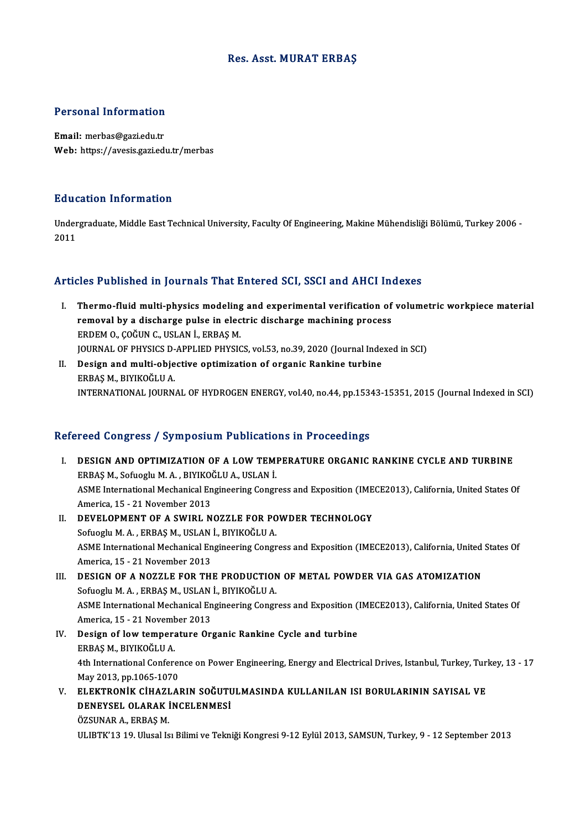## Res. Asst.MURAT ERBAŞ

# Personal Information

Personal Information<br>Email: merbas@gazi.edu.tr<br>Web: https://avasis.cari.ed Email: merbas@gazi.edu.tr<br>Web: https://avesis.gazi.edu.tr/merbas

### Education Information

**Education Information**<br>Undergraduate, Middle East Technical University, Faculty Of Engineering, Makine Mühendisliği Bölümü, Turkey 2006 -<br>2011 Laud<br>Under<br>2011

## Articles Published in Journals That Entered SCI, SSCI and AHCI Indexes

- rticles Published in Journals That Entered SCI, SSCI and AHCI Indexes<br>I. Thermo-fluid multi-physics modeling and experimental verification of volumetric workpiece material<br>I. Thermo-fluid multi-physics modeling and experim reses in a showed in your hands find sincered boxy book did finite fixed<br>Thermo-fluid multi-physics modeling and experimental verification of<br>FEDDEM O. COČUN C. USLAN L. ERRAS M Thermo-fluid multi-physics modeling<br>removal by a discharge pulse in elec<br>ERDEM 0., ÇOĞUN C., USLAN İ., ERBAŞ M.<br>JOUPMAL OF PHYSICS D APPLIED PHYSIC removal by a discharge pulse in electric discharge machining process<br>ERDEM 0., ÇOĞUN C., USLAN İ., ERBAŞ M.<br>JOURNAL OF PHYSICS D-APPLIED PHYSICS, vol.53, no.39, 2020 (Journal Indexed in SCI)<br>Design and multi objective onti ERDEM 0., ÇOĞUN C., USLAN İ., ERBAŞ M.<br>JOURNAL OF PHYSICS D-APPLIED PHYSICS, vol.53, no.39, 2020 (Journal Inde<br>II. Design and multi-objective optimization of organic Rankine turbine<br>FRAS M. RIVICOČLU A
- JOURNAL OF PHYSICS D-<br>Design and multi-obje<br>ERBAŞ M., BIYIKOĞLU A.<br>INTERNATIONAL JOURN II. Design and multi-objective optimization of organic Rankine turbine<br>ERBAŞ M., BIYIKOĞLU A.<br>INTERNATIONAL JOURNAL OF HYDROGEN ENERGY, vol.40, no.44, pp.15343-15351, 2015 (Journal Indexed in SCI)

## Refereed Congress / Symposium Publications in Proceedings

- efereed Congress / Symposium Publications in Proceedings<br>I. DESIGN AND OPTIMIZATION OF A LOW TEMPERATURE ORGANIC RANKINE CYCLE AND TURBINE ERBAŞM., SofuogluM.<br>ERBAŞ M., Sofuoglu M.A., BIYIKOĞLUA., USLANİ.<br>ASME International Mechanical Engineering Congre DESIGN AND OPTIMIZATION OF A LOW TEMPERATURE ORGANIC RANKINE CYCLE AND TURBINE<br>ERBAŞ M., Sofuoglu M. A. , BIYIKOĞLU A., USLAN İ.<br>ASME International Mechanical Engineering Congress and Exposition (IMECE2013), California, Un ERBAŞ M., Sofuoglu M. A. , BIYIKOO<br>ASME International Mechanical En<br>America, 15 - 21 November 2013<br>DEVELOPMENT OF A SWIPL N ASME International Mechanical Engineering Congress and Exposition (IME<br>America, 15 - 21 November 2013<br>II. DEVELOPMENT OF A SWIRL NOZZLE FOR POWDER TECHNOLOGY<br>Sefucely M.A. EPRAS M. JISLAN L BIVICOČLIJA America, 15 - 21 November 2013<br>DEVELOPMENT OF A SWIRL NOZZLE FOR PO<br>Sofuoglu M. A. , ERBAŞ M., USLAN İ., BIYIKOĞLU A.<br>ASME International Mechanical Engineering Congr II. DEVELOPMENT OF A SWIRL NOZZLE FOR POWDER TECHNOLOGY<br>Sofuoglu M. A., ERBAŞ M., USLAN İ., BIYIKOĞLU A.<br>ASME International Mechanical Engineering Congress and Exposition (IMECE2013), California, United States Of<br>America. Sofuoglu M. A. , ERBAŞ M., USLAN<br>ASME International Mechanical En<br>America, 15 - 21 November 2013<br>DESICN OF A NOZZI E EOP THI
- ASME International Mechanical Engineering Congress and Exposition (IMECE2013), California, United<br>America, 15 21 November 2013<br>III. DESIGN OF A NOZZLE FOR THE PRODUCTION OF METAL POWDER VIA GAS ATOMIZATION<br>Sefundly M.A. America, 15 - 21 November 2013<br>DESIGN OF A NOZZLE FOR THE PRODUCTION<br>Sofuoglu M. A. , ERBAŞ M., USLAN İ., BIYIKOĞLU A.<br>ASME International Mechanical Engineering Congr ASME International Mechanical Engineering Congress and Exposition (IMECE2013), California, United States Of Sofuoglu M. A., ERBAȘ M., USLAN İ., BIYIKOĞLU A. America, 15 - 21 November 2013
- IV. Design of lowtemperature Organic Rankine Cycle and turbine Design of low temperature Organic Rankine Cycle and turbine<br>ERBAŞ M., BIYIKOĞLU A.<br>4th International Conference on Power Engineering, Energy and Electrical Drives, Istanbul, Turkey, Turkey, 13 - 17<br>May 2012, pp.1065-1070 ERBAȘ M., BIYIKOĞLU A.<br>4th International Conferen<br>May 2013, pp.1065-1070<br>ELEKTBONİK CİHAZLAL 4th International Conference on Power Engineering, Energy and Electrical Drives, Istanbul, Turkey, Turi<br>May 2013, pp.1065-1070<br>V. ELEKTRONİK CİHAZLARIN SOĞUTULMASINDA KULLANILAN ISI BORULARININ SAYISAL VE<br>DENEVSEL OLARAK İ
- May 2013, pp.1065-1070<br>ELEKTRONİK CİHAZLARIN SOĞUTU<br>DENEYSEL OLARAK İNCELENMESİ<br>ÖZSUNAR ALEPRASM ELEKTRONİK CİHAZI<br>DENEYSEL OLARAK İ<br>ÖZSUNAR A., ERBAŞ M.<br>III IPTK'12 10 Husal İs ÖZSUNAR A., ERBAŞ M.<br>ULIBTK'13 19. Ulusal Isı Bilimi ve Tekniği Kongresi 9-12 Eylül 2013, SAMSUN, Turkey, 9 - 12 September 2013